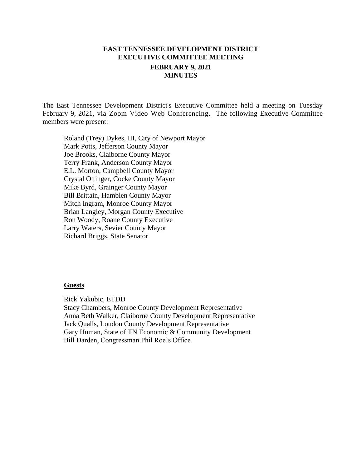# **EAST TENNESSEE DEVELOPMENT DISTRICT EXECUTIVE COMMITTEE MEETING FEBRUARY 9, 2021 MINUTES**

The East Tennessee Development District's Executive Committee held a meeting on Tuesday February 9, 2021, via Zoom Video Web Conferencing. The following Executive Committee members were present:

Roland (Trey) Dykes, III, City of Newport Mayor Mark Potts, Jefferson County Mayor Joe Brooks, Claiborne County Mayor Terry Frank, Anderson County Mayor E.L. Morton, Campbell County Mayor Crystal Ottinger, Cocke County Mayor Mike Byrd, Grainger County Mayor Bill Brittain, Hamblen County Mayor Mitch Ingram, Monroe County Mayor Brian Langley, Morgan County Executive Ron Woody, Roane County Executive Larry Waters, Sevier County Mayor Richard Briggs, State Senator

#### **Guests**

Rick Yakubic, ETDD

Stacy Chambers, Monroe County Development Representative Anna Beth Walker, Claiborne County Development Representative Jack Qualls, Loudon County Development Representative Gary Human, State of TN Economic & Community Development Bill Darden, Congressman Phil Roe's Office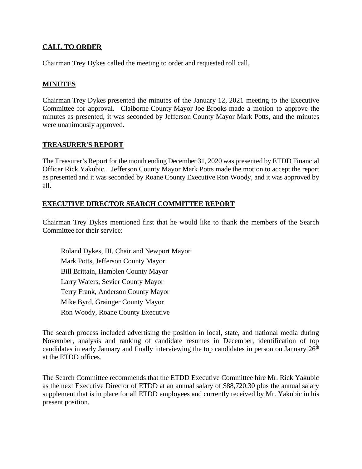# **CALL TO ORDER**

Chairman Trey Dykes called the meeting to order and requested roll call.

### **MINUTES**

Chairman Trey Dykes presented the minutes of the January 12, 2021 meeting to the Executive Committee for approval. Claiborne County Mayor Joe Brooks made a motion to approve the minutes as presented, it was seconded by Jefferson County Mayor Mark Potts, and the minutes were unanimously approved.

### **TREASURER'S REPORT**

The Treasurer's Report for the month ending December 31, 2020 was presented by ETDD Financial Officer Rick Yakubic. Jefferson County Mayor Mark Potts made the motion to accept the report as presented and it was seconded by Roane County Executive Ron Woody, and it was approved by all.

### **EXECUTIVE DIRECTOR SEARCH COMMITTEE REPORT**

Chairman Trey Dykes mentioned first that he would like to thank the members of the Search Committee for their service:

Roland Dykes, III, Chair and Newport Mayor Mark Potts, Jefferson County Mayor Bill Brittain, Hamblen County Mayor Larry Waters, Sevier County Mayor Terry Frank, Anderson County Mayor Mike Byrd, Grainger County Mayor Ron Woody, Roane County Executive

The search process included advertising the position in local, state, and national media during November, analysis and ranking of candidate resumes in December, identification of top candidates in early January and finally interviewing the top candidates in person on January  $26<sup>th</sup>$ at the ETDD offices.

The Search Committee recommends that the ETDD Executive Committee hire Mr. Rick Yakubic as the next Executive Director of ETDD at an annual salary of \$88,720.30 plus the annual salary supplement that is in place for all ETDD employees and currently received by Mr. Yakubic in his present position.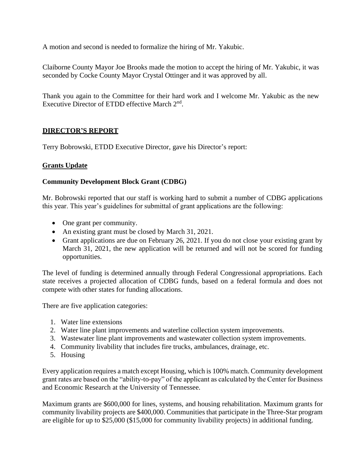A motion and second is needed to formalize the hiring of Mr. Yakubic.

Claiborne County Mayor Joe Brooks made the motion to accept the hiring of Mr. Yakubic, it was seconded by Cocke County Mayor Crystal Ottinger and it was approved by all.

Thank you again to the Committee for their hard work and I welcome Mr. Yakubic as the new Executive Director of ETDD effective March 2<sup>nd</sup>.

# **DIRECTOR'S REPORT**

Terry Bobrowski, ETDD Executive Director, gave his Director's report:

# **Grants Update**

# **Community Development Block Grant (CDBG)**

Mr. Bobrowski reported that our staff is working hard to submit a number of CDBG applications this year. This year's guidelines for submittal of grant applications are the following:

- One grant per community.
- An existing grant must be closed by March 31, 2021.
- Grant applications are due on February 26, 2021. If you do not close your existing grant by March 31, 2021, the new application will be returned and will not be scored for funding opportunities.

The level of funding is determined annually through Federal Congressional appropriations. Each state receives a projected allocation of CDBG funds, based on a federal formula and does not compete with other states for funding allocations.

There are five application categories:

- 1. Water line extensions
- 2. Water line plant improvements and waterline collection system improvements.
- 3. Wastewater line plant improvements and wastewater collection system improvements.
- 4. Community livability that includes fire trucks, ambulances, drainage, etc.
- 5. Housing

Every application requires a match except Housing, which is 100% match. Community development grant rates are based on the "ability-to-pay" of the applicant as calculated by the Center for Business and Economic Research at the University of Tennessee.

Maximum grants are \$600,000 for lines, systems, and housing rehabilitation. Maximum grants for community livability projects are \$400,000. Communities that participate in the Three-Star program are eligible for up to \$25,000 (\$15,000 for community livability projects) in additional funding.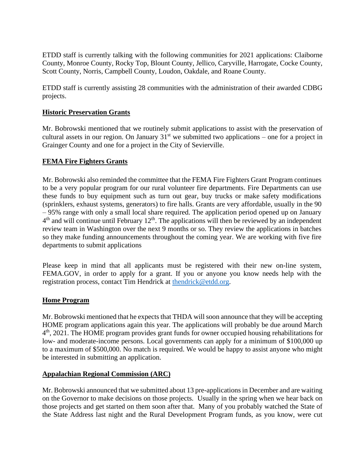ETDD staff is currently talking with the following communities for 2021 applications: Claiborne County, Monroe County, Rocky Top, Blount County, Jellico, Caryville, Harrogate, Cocke County, Scott County, Norris, Campbell County, Loudon, Oakdale, and Roane County.

ETDD staff is currently assisting 28 communities with the administration of their awarded CDBG projects.

### **Historic Preservation Grants**

Mr. Bobrowski mentioned that we routinely submit applications to assist with the preservation of cultural assets in our region. On January  $31<sup>st</sup>$  we submitted two applications – one for a project in Grainger County and one for a project in the City of Sevierville.

### **FEMA Fire Fighters Grants**

Mr. Bobrowski also reminded the committee that the FEMA Fire Fighters Grant Program continues to be a very popular program for our rural volunteer fire departments. Fire Departments can use these funds to buy equipment such as turn out gear, buy trucks or make safety modifications (sprinklers, exhaust systems, generators) to fire halls. Grants are very affordable, usually in the 90 – 95% range with only a small local share required. The application period opened up on January  $4<sup>th</sup>$  and will continue until February 12<sup>th</sup>. The applications will then be reviewed by an independent review team in Washington over the next 9 months or so. They review the applications in batches so they make funding announcements throughout the coming year. We are working with five fire departments to submit applications

Please keep in mind that all applicants must be registered with their new on-line system, FEMA.GOV, in order to apply for a grant. If you or anyone you know needs help with the registration process, contact Tim Hendrick at [thendrick@etdd.org.](mailto:thendrick@etdd.org)

### **Home Program**

Mr. Bobrowski mentioned that he expects that THDA will soon announce that they will be accepting HOME program applications again this year. The applications will probably be due around March 4<sup>th</sup>, 2021. The HOME program provides grant funds for owner occupied housing rehabilitations for low- and moderate-income persons. Local governments can apply for a minimum of \$100,000 up to a maximum of \$500,000. No match is required. We would be happy to assist anyone who might be interested in submitting an application.

### **Appalachian Regional Commission (ARC)**

Mr. Bobrowski announced that we submitted about 13 pre-applications in December and are waiting on the Governor to make decisions on those projects. Usually in the spring when we hear back on those projects and get started on them soon after that. Many of you probably watched the State of the State Address last night and the Rural Development Program funds, as you know, were cut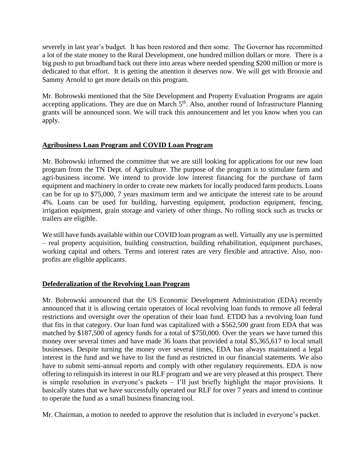severely in last year's budget. It has been restored and then some. The Governor has recommitted a lot of the state money to the Rural Development, one hundred million dollars or more. There is a big push to put broadband back out there into areas where needed spending \$200 million or more is dedicated to that effort. It is getting the attention it deserves now. We will get with Brooxie and Sammy Arnold to get more details on this program.

Mr. Bobrowski mentioned that the Site Development and Property Evaluation Programs are again accepting applications. They are due on March  $5<sup>th</sup>$ . Also, another round of Infrastructure Planning grants will be announced soon. We will track this announcement and let you know when you can apply.

# **Agribusiness Loan Program and COVID Loan Program**

Mr. Bobrowski informed the committee that we are still looking for applications for our new loan program from the TN Dept. of Agriculture. The purpose of the program is to stimulate farm and agri-business income. We intend to provide low interest financing for the purchase of farm equipment and machinery in order to create new markets for locally produced farm products. Loans can be for up to \$75,000, 7 years maximum term and we anticipate the interest rate to be around 4%. Loans can be used for building, harvesting equipment, production equipment, fencing, irrigation equipment, grain storage and variety of other things. No rolling stock such as trucks or trailers are eligible.

We still have funds available within our COVID loan program as well. Virtually any use is permitted – real property acquisition, building construction, building rehabilitation, equipment purchases, working capital and others. Terms and interest rates are very flexible and attractive. Also, nonprofits are eligible applicants.

# **Defederalization of the Revolving Loan Program**

Mr. Bobrowski announced that the US Economic Development Administration (EDA) recently announced that it is allowing certain operators of local revolving loan funds to remove all federal restrictions and oversight over the operation of their loan fund. ETDD has a revolving loan fund that fits in that category. Our loan fund was capitalized with a \$562,500 grant from EDA that was matched by \$187,500 of agency funds for a total of \$750,000. Over the years we have turned this money over several times and have made 36 loans that provided a total \$5,365,617 to local small businesses. Despite turning the money over several times, EDA has always maintained a legal interest in the fund and we have to list the fund as restricted in our financial statements. We also have to submit semi-annual reports and comply with other regulatory requirements. EDA is now offering to relinquish its interest in our RLF program and we are very pleased at this prospect. There is simple resolution in everyone's packets – I'll just briefly highlight the major provisions. It basically states that we have successfully operated our RLF for over 7 years and intend to continue to operate the fund as a small business financing tool.

Mr. Chairman, a motion to needed to approve the resolution that is included in everyone's packet.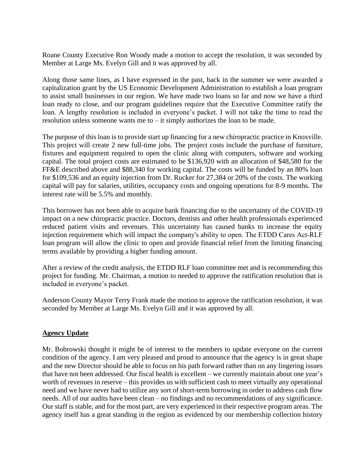Roane County Executive Ron Woody made a motion to accept the resolution, it was seconded by Member at Large Ms. Evelyn Gill and it was approved by all.

Along those same lines, as I have expressed in the past, back in the summer we were awarded a capitalization grant by the US Economic Development Administration to establish a loan program to assist small businesses in our region. We have made two loans so far and now we have a third loan ready to close, and our program guidelines require that the Executive Committee ratify the loan. A lengthy resolution is included in everyone's packet. I will not take the time to read the resolution unless someone wants me to  $-$  it simply authorizes the loan to be made.

The purpose of this loan is to provide start up financing for a new chiropractic practice in Knoxville. This project will create 2 new full-time jobs. The project costs include the purchase of furniture, fixtures and equipment required to open the clinic along with computers, software and working capital. The total project costs are estimated to be \$136,920 with an allocation of \$48,580 for the FF&E described above and \$88,340 for working capital. The costs will be funded by an 80% loan for \$109,536 and an equity injection from Dr. Rucker for 27,384 or 20% of the costs. The working capital will pay for salaries, utilities, occupancy costs and ongoing operations for 8-9 months. The interest rate will be 5.5% and monthly.

This borrower has not been able to acquire bank financing due to the uncertainty of the COVID-19 impact on a new chiropractic practice. Doctors, dentists and other health professionals experienced reduced patient visits and revenues. This uncertainty has caused banks to increase the equity injection requirement which will impact the company's ability to open. The ETDD Cares Act-RLF loan program will allow the clinic to open and provide financial relief from the limiting financing terms available by providing a higher funding amount.

After a review of the credit analysis, the ETDD RLF loan committee met and is recommending this project for funding. Mr. Chairman, a motion to needed to approve the ratification resolution that is included in everyone's packet.

Anderson County Mayor Terry Frank made the motion to approve the ratification resolution, it was seconded by Member at Large Ms. Evelyn Gill and it was approved by all.

# **Agency Update**

Mr. Bobrowski thought it might be of interest to the members to update everyone on the current condition of the agency. I am very pleased and proud to announce that the agency is in great shape and the new Director should be able to focus on his path forward rather than on any lingering issues that have not been addressed. Our fiscal health is excellent – we currently maintain about one year's worth of revenues in reserve – this provides us with sufficient cash to meet virtually any operational need and we have never had to utilize any sort of short-term borrowing in order to address cash flow needs. All of our audits have been clean – no findings and no recommendations of any significance. Our staff is stable, and for the most part, are very experienced in their respective program areas. The agency itself has a great standing in the region as evidenced by our membership collection history